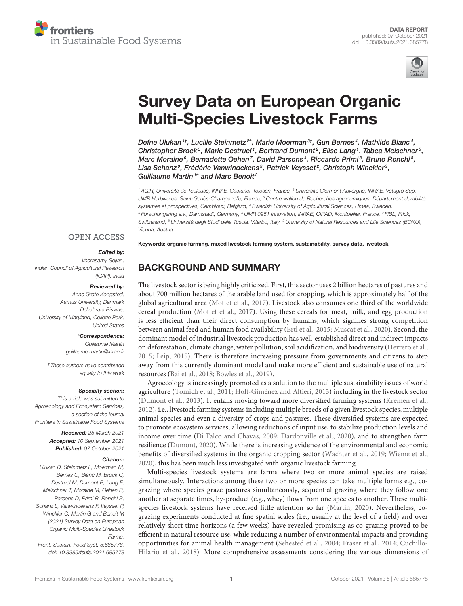



# [Survey Data on European Organic](https://www.frontiersin.org/articles/10.3389/fsufs.2021.685778/full) Multi-Species Livestock Farms

Defne Ulukan  $^{\text{1+}}$ , Lucille Steinmetz $^{2\text{+}},$  Marie Moerman  $^{\text{3+}},$  Gun Bernes  $^{\text{4}},$  Mathilde Blanc  $^{\text{4}},$ Christopher Brock $^5$ , Marie Destruel1, Bertrand Dumont $^2$ , Elise Lang1, Tabea Meischner $^5$ , Marc Moraine $^6$ , Bernadette Oehen  $^7$ , David Parsons $^4$ , Riccardo Primi $^8$ , Bruno Ronchi $^8$ , Lisa Schanz<sup>9</sup>, Frédéric Vanwindekens<sup>3</sup>, Patrick Veysset<sup>2</sup>, Christoph Winckler<sup>9</sup>, Guillaume Martin<sup>1\*</sup> and Marc Benoit<sup>2</sup>

<sup>1</sup> AGIR, Université de Toulouse, INRAE, Castanet-Tolosan, France, <sup>2</sup> Université Clermont Auvergne, INRAE, Vetagro Sup, UMR Herbivores, Saint-Genès-Champanelle, France, <sup>3</sup> Centre wallon de Recherches agronomiques, Département durabilité, systèmes et prospectives, Gembloux, Belgium, <sup>4</sup> Swedish University of Agricultural Sciences, Umea, Sweden, <sup>5</sup> Forschungsring e.v., Darmstadt, Germany, <sup>6</sup> UMR 0951 Innovation, INRAE, CIRAD, Montpellier, France, <sup>7</sup> FiBL, Frick, Switzerland, <sup>8</sup> Università degli Studi della Tuscia, Viterbo, Italy, <sup>9</sup> University of Natural Resources and Life Sciences (BOKU), Vienna, Austria

### **OPEN ACCESS**

### Edited by:

Veerasamy Sejian, Indian Council of Agricultural Research (ICAR), India

#### Reviewed by:

Anne Grete Kongsted, Aarhus University, Denmark Debabrata Biswas, University of Maryland, College Park, United States

#### \*Correspondence:

Guillaume Martin [guillaume.martin@inrae.fr](mailto:guillaume.martin@inrae.fr)

†These authors have contributed equally to this work

#### Specialty section:

This article was submitted to Agroecology and Ecosystem Services, a section of the journal Frontiers in Sustainable Food Systems

> Received: 25 March 2021 Accepted: 10 September 2021 Published: 07 October 2021

### Citation:

Ulukan D, Steinmetz L, Moerman M, Bernes G, Blanc M, Brock C, Destruel M, Dumont B, Lang E, Meischner T, Moraine M, Oehen B, Parsons D, Primi R, Ronchi B, Schanz L, Vanwindekens F, Veysset P, Winckler C, Martin G and Benoit M (2021) Survey Data on European Organic Multi-Species Livestock Farms. Front. Sustain. Food Syst. 5:685778. doi: [10.3389/fsufs.2021.685778](https://doi.org/10.3389/fsufs.2021.685778)

Keywords: organic farming, mixed livestock farming system, sustainability, survey data, livestock

# BACKGROUND AND SUMMARY

The livestock sector is being highly criticized. First, this sector uses 2 billion hectares of pastures and about 700 million hectares of the arable land used for cropping, which is approximately half of the global agricultural area [\(Mottet et al., 2017\)](#page-6-0). Livestock also consumes one third of the worldwide cereal production [\(Mottet et al., 2017\)](#page-6-0). Using these cereals for meat, milk, and egg production is less efficient than their direct consumption by humans, which signifies strong competition between animal feed and human food availability [\(Ertl et al., 2015;](#page-6-1) [Muscat et al., 2020\)](#page-6-2). Second, the dominant model of industrial livestock production has well-established direct and indirect impacts on deforestation, climate change, water pollution, soil acidification, and biodiversity [\(Herrero et al.,](#page-6-3) [2015;](#page-6-3) [Leip, 2015\)](#page-6-4). There is therefore increasing pressure from governments and citizens to step away from this currently dominant model and make more efficient and sustainable use of natural resources [\(Bai et al., 2018;](#page-5-0) [Bowles et al., 2019\)](#page-5-1).

Agroecology is increasingly promoted as a solution to the multiple sustainability issues of world agriculture [\(Tomich et al., 2011;](#page-6-5) [Holt-Giménez and Altieri, 2013\)](#page-6-6) including in the livestock sector [\(Dumont et al., 2013\)](#page-5-2). It entails moving toward more diversified farming systems [\(Kremen et al.,](#page-6-7) [2012\)](#page-6-7), i.e., livestock farming systems including multiple breeds of a given livestock species, multiple animal species and even a diversity of crops and pastures. These diversified systems are expected to promote ecosystem services, allowing reductions of input use, to stabilize production levels and income over time [\(Di Falco and Chavas, 2009;](#page-5-3) [Dardonville et al., 2020\)](#page-5-4), and to strengthen farm resilience [\(Dumont, 2020\)](#page-5-5). While there is increasing evidence of the environmental and economic benefits of diversified systems in the organic cropping sector [\(Wachter et al., 2019;](#page-6-8) [Wieme et al.,](#page-6-9) [2020\)](#page-6-9), this has been much less investigated with organic livestock farming.

Multi-species livestock systems are farms where two or more animal species are raised simultaneously. Interactions among these two or more species can take multiple forms e.g., cograzing where species graze pastures simultaneously, sequential grazing where they follow one another at separate times, by-product (e.g., whey) flows from one species to another. These multispecies livestock systems have received little attention so far [\(Martin, 2020\)](#page-6-10). Nevertheless, cograzing experiments conducted at fine spatial scales (i.e., usually at the level of a field) and over relatively short time horizons (a few weeks) have revealed promising as co-grazing proved to be efficient in natural resource use, while reducing a number of environmental impacts and providing opportunities for animal health management [\(Sehested et al., 2004;](#page-6-11) [Fraser et al., 2014;](#page-6-12) Cuchillo-Hilario et al., [2018\)](#page-5-6). More comprehensive assessments considering the various dimensions of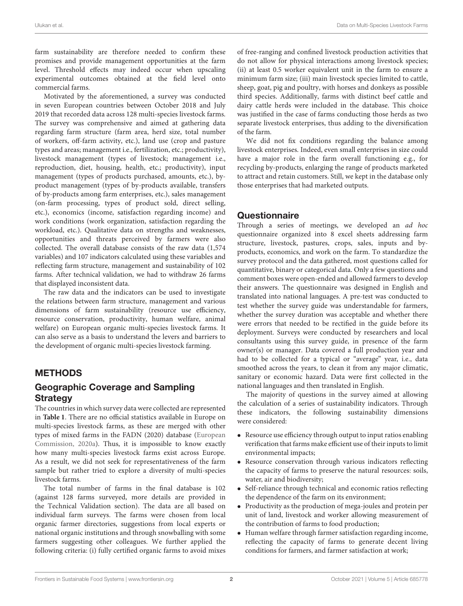farm sustainability are therefore needed to confirm these promises and provide management opportunities at the farm level. Threshold effects may indeed occur when upscaling experimental outcomes obtained at the field level onto commercial farms.

Motivated by the aforementioned, a survey was conducted in seven European countries between October 2018 and July 2019 that recorded data across 128 multi-species livestock farms. The survey was comprehensive and aimed at gathering data regarding farm structure (farm area, herd size, total number of workers, off-farm activity, etc.), land use (crop and pasture types and areas; management i.e., fertilization, etc.; productivity), livestock management (types of livestock; management i.e., reproduction, diet, housing, health, etc.; productivity), input management (types of products purchased, amounts, etc.), byproduct management (types of by-products available, transfers of by-products among farm enterprises, etc.), sales management (on-farm processing, types of product sold, direct selling, etc.), economics (income, satisfaction regarding income) and work conditions (work organization, satisfaction regarding the workload, etc.). Qualitative data on strengths and weaknesses, opportunities and threats perceived by farmers were also collected. The overall database consists of the raw data (1,574 variables) and 107 indicators calculated using these variables and reflecting farm structure, management and sustainability of 102 farms. After technical validation, we had to withdraw 26 farms that displayed inconsistent data.

The raw data and the indicators can be used to investigate the relations between farm structure, management and various dimensions of farm sustainability (resource use efficiency, resource conservation, productivity, human welfare, animal welfare) on European organic multi-species livestock farms. It can also serve as a basis to understand the levers and barriers to the development of organic multi-species livestock farming.

# METHODS

# Geographic Coverage and Sampling **Strategy**

The countries in which survey data were collected are represented in **[Table 1](#page-2-0)**. There are no official statistics available in Europe on multi-species livestock farms, as these are merged with other types of mixed farms in the FADN (2020) database (European Commission, [2020a\)](#page-6-13). Thus, it is impossible to know exactly how many multi-species livestock farms exist across Europe. As a result, we did not seek for representativeness of the farm sample but rather tried to explore a diversity of multi-species livestock farms.

The total number of farms in the final database is 102 (against 128 farms surveyed, more details are provided in the Technical Validation section). The data are all based on individual farm surveys. The farms were chosen from local organic farmer directories, suggestions from local experts or national organic institutions and through snowballing with some farmers suggesting other colleagues. We further applied the following criteria: (i) fully certified organic farms to avoid mixes of free-ranging and confined livestock production activities that do not allow for physical interactions among livestock species; (ii) at least 0.5 worker equivalent unit in the farm to ensure a minimum farm size; (iii) main livestock species limited to cattle, sheep, goat, pig and poultry, with horses and donkeys as possible third species. Additionally, farms with distinct beef cattle and dairy cattle herds were included in the database. This choice was justified in the case of farms conducting those herds as two separate livestock enterprises, thus adding to the diversification of the farm.

We did not fix conditions regarding the balance among livestock enterprises. Indeed, even small enterprises in size could have a major role in the farm overall functioning e.g., for recycling by-products, enlarging the range of products marketed to attract and retain customers. Still, we kept in the database only those enterprises that had marketed outputs.

### **Questionnaire**

Through a series of meetings, we developed an ad hoc questionnaire organized into 8 excel sheets addressing farm structure, livestock, pastures, crops, sales, inputs and byproducts, economics, and work on the farm. To standardize the survey protocol and the data gathered, most questions called for quantitative, binary or categorical data. Only a few questions and comment boxes were open-ended and allowed farmers to develop their answers. The questionnaire was designed in English and translated into national languages. A pre-test was conducted to test whether the survey guide was understandable for farmers, whether the survey duration was acceptable and whether there were errors that needed to be rectified in the guide before its deployment. Surveys were conducted by researchers and local consultants using this survey guide, in presence of the farm owner(s) or manager. Data covered a full production year and had to be collected for a typical or "average" year, i.e., data smoothed across the years, to clean it from any major climatic, sanitary or economic hazard. Data were first collected in the national languages and then translated in English.

The majority of questions in the survey aimed at allowing the calculation of a series of sustainability indicators. Through these indicators, the following sustainability dimensions were considered:

- Resource use efficiency through output to input ratios enabling verification that farms make efficient use of their inputs to limit environmental impacts;
- Resource conservation through various indicators reflecting the capacity of farms to preserve the natural resources: soils, water, air and biodiversity;
- Self-reliance through technical and economic ratios reflecting the dependence of the farm on its environment;
- Productivity as the production of mega-joules and protein per unit of land, livestock and worker allowing measurement of the contribution of farms to food production;
- Human welfare through farmer satisfaction regarding income, reflecting the capacity of farms to generate decent living conditions for farmers, and farmer satisfaction at work;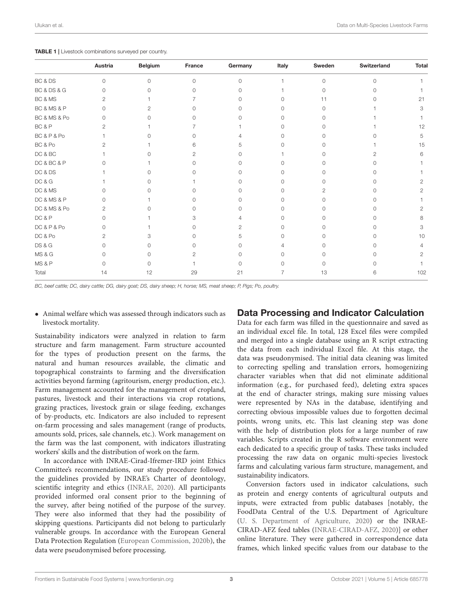<span id="page-2-0"></span>

|  |  | TABLE 1   Livestock combinations surveyed per country. |  |  |
|--|--|--------------------------------------------------------|--|--|
|--|--|--------------------------------------------------------|--|--|

|                   | Austria        | <b>Belgium</b> | France   | Germany  | Italy        | Sweden   | Switzerland | <b>Total</b>          |
|-------------------|----------------|----------------|----------|----------|--------------|----------|-------------|-----------------------|
| BC & DS           | $\Omega$       | $\Omega$       | $\circ$  | $\Omega$ |              | $\Omega$ | $\circ$     |                       |
| BC & DS & G       | $\Omega$       | $\cap$         | $\Omega$ | O        |              | $\Omega$ | $\Omega$    |                       |
| BC & MS           | 2              |                |          | O        | 0            | 11       | ∩           | 21                    |
| BC & MS & P       | $\Omega$       | 2              | O        | O        | <sup>n</sup> | U        |             | 3                     |
| BC & MS & Po      | $\Omega$       | U              | O        | ∩        | 0            | 0        |             |                       |
| BC&P              | 2              |                |          |          | O            | ∩        |             | 12                    |
| BC&P&Po           |                |                | Λ        | Δ        | 0            | ∩        |             | 5                     |
| BC & Po           | 2              |                | 6        | 5        | Λ            | ∩        |             | 15                    |
| DC & BC           |                | ∩              | 2        | $\Omega$ |              | 0        | 2           | 6                     |
| DC & BC & P       |                |                |          |          | Λ            | Ω        | Ω           |                       |
| DC & DS           |                | ∩              |          |          | Λ            | Ω        | 0           |                       |
| DC & G            |                | ∩              |          |          |              | 0        | 0           | 2                     |
| DC & MS           | $\cap$         | ∩              | Λ        | O        | Ω            | 2        | O           | 2                     |
| DC & MS & P       | Ω              |                | Ω        | Ω        | Ω            | ∩        | O           |                       |
| DC & MS & Po      | 2              | ∩              | O        | O        | 0            | ∩        | $\Omega$    | 2                     |
| DC&P              | $\Omega$       |                | З        | 4        | 0            | ∩        | ∩           | 8                     |
| DC&P&Po           | 0              |                | O        | 2        | 0            | ∩        | Ω           | 3                     |
| DC & Po           | $\overline{2}$ | З              | O        | 5        | O            | 0        | Ω           | 10                    |
| <b>DS &amp; G</b> | O              | U              | O        | O        |              | ∩        | O           | 4                     |
| <b>MS &amp; G</b> | $\Omega$       | 0              | 2        | $\Omega$ | 0            | 0        | $\Omega$    | $\mathbf{2}^{\prime}$ |
| MS&P              | Ω              | 0              |          | ∩        |              | Ω        | Ω           |                       |
| Total             | 14             | 12             | 29       | 21       |              | 13       | 6           | 102                   |

BC, beef cattle; DC, dairy cattle; DG, dairy goat; DS, dairy sheep; H, horse; MS, meat sheep; P, Pigs; Po, poultry.

• Animal welfare which was assessed through indicators such as livestock mortality.

Sustainability indicators were analyzed in relation to farm structure and farm management. Farm structure accounted for the types of production present on the farms, the natural and human resources available, the climatic and topographical constraints to farming and the diversification activities beyond farming (agritourism, energy production, etc.). Farm management accounted for the management of cropland, pastures, livestock and their interactions via crop rotations, grazing practices, livestock grain or silage feeding, exchanges of by-products, etc. Indicators are also included to represent on-farm processing and sales management (range of products, amounts sold, prices, sale channels, etc.). Work management on the farm was the last component, with indicators illustrating workers' skills and the distribution of work on the farm.

In accordance with INRAE-Cirad-Ifremer-IRD joint Ethics Committee's recommendations, our study procedure followed the guidelines provided by INRAE's Charter of deontology, scientific integrity and ethics [\(INRAE, 2020\)](#page-6-14). All participants provided informed oral consent prior to the beginning of the survey, after being notified of the purpose of the survey. They were also informed that they had the possibility of skipping questions. Participants did not belong to particularly vulnerable groups. In accordance with the European General Data Protection Regulation [\(European Commission, 2020b\)](#page-6-15), the data were pseudonymised before processing.

### Data Processing and Indicator Calculation

Data for each farm was filled in the questionnaire and saved as an individual excel file. In total, 128 Excel files were compiled and merged into a single database using an R script extracting the data from each individual Excel file. At this stage, the data was pseudonymised. The initial data cleaning was limited to correcting spelling and translation errors, homogenizing character variables when that did not eliminate additional information (e.g., for purchased feed), deleting extra spaces at the end of character strings, making sure missing values were represented by NAs in the database, identifying and correcting obvious impossible values due to forgotten decimal points, wrong units, etc. This last cleaning step was done with the help of distribution plots for a large number of raw variables. Scripts created in the R software environment were each dedicated to a specific group of tasks. These tasks included processing the raw data on organic multi-species livestock farms and calculating various farm structure, management, and sustainability indicators.

Conversion factors used in indicator calculations, such as protein and energy contents of agricultural outputs and inputs, were extracted from public databases [notably, the FoodData Central of the U.S. Department of Agriculture [\(U. S. Department of Agriculture, 2020\)](#page-6-16) or the INRAE-CIRAD-AFZ feed tables [\(INRAE-CIRAD-AFZ, 2020\)](#page-6-17)] or other online literature. They were gathered in correspondence data frames, which linked specific values from our database to the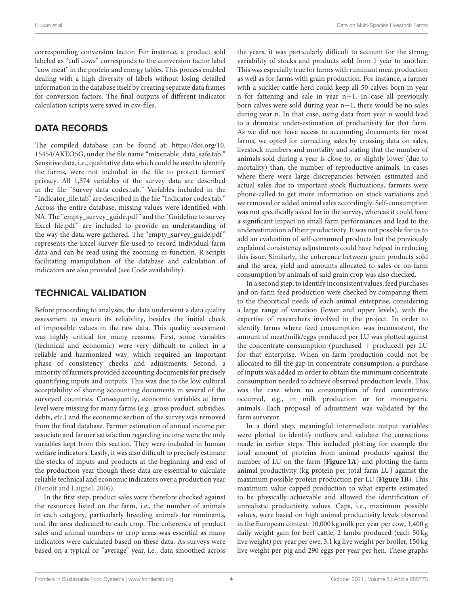corresponding conversion factor. For instance, a product sold labeled as "cull cows" corresponds to the conversion factor label "cow meat" in the protein and energy tables. This process enabled dealing with a high diversity of labels without losing detailed information in the database itself by creating separate data frames for conversion factors. The final outputs of different indicator calculation scripts were saved in csv-files.

# DATA RECORDS

The compiled database can be found at: [https://doi.org/10.](https://doi.org/10.15454/AKEO5G) [15454/AKEO5G,](https://doi.org/10.15454/AKEO5G) under the file name "mixenable\_data\_safe.tab." Sensitive data, i.e., qualitative data which could be used to identify the farms, were not included in the file to protect farmers' privacy. All 1,574 variables of the survey data are described in the file "Survey data codes.tab." Variables included in the "Indicator file.tab" are described in the file "Indicator codes.tab." Across the entire database, missing values were identified with NA. The "empty\_survey\_guide.pdf" and the "Guideline to survey Excel file.pdf" are included to provide an understanding of the way the data were gathered. The "empty\_survey\_guide.pdf" represents the Excel survey file used to record individual farm data and can be read using the zooming in function. R scripts facilitating manipulation of the database and calculation of indicators are also provided (see Code availability).

# TECHNICAL VALIDATION

Before proceeding to analyses, the data underwent a data quality assessment to ensure its reliability, besides the initial check of impossible values in the raw data. This quality assessment was highly critical for many reasons. First, some variables (technical and economic) were very difficult to collect in a reliable and harmonized way, which required an important phase of consistency checks and adjustments. Second, a minority of farmers provided accounting documents for precisely quantifying inputs and outputs. This was due to the low cultural acceptability of sharing accounting documents in several of the surveyed countries. Consequently, economic variables at farm level were missing for many farms (e.g., gross product, subsidies, debts, etc.) and the economic section of the survey was removed from the final database. Farmer estimation of annual income per associate and farmer satisfaction regarding income were the only variables kept from this section. They were included in human welfare indicators. Lastly, it was also difficult to precisely estimate the stocks of inputs and products at the beginning and end of the production year though these data are essential to calculate reliable technical and economic indicators over a production year [\(Benoit and Laignel, 2006\)](#page-5-7).

In the first step, product sales were therefore checked against the resources listed on the farm, i.e., the number of animals in each category, particularly breeding animals for ruminants, and the area dedicated to each crop. The coherence of product sales and animal numbers or crop areas was essential as many indicators were calculated based on these data. As surveys were based on a typical or "average" year, i.e., data smoothed across

the years, it was particularly difficult to account for the strong variability of stocks and products sold from 1 year to another. This was especially true for farms with ruminant meat production as well as for farms with grain production. For instance, a farmer with a suckler cattle herd could keep all 50 calves born in year n for fattening and sale in year n+1. In case all previously born calves were sold during year n−1, there would be no sales during year n. In that case, using data from year n would lead to a dramatic under-estimation of productivity for that farm. As we did not have access to accounting documents for most farms, we opted for correcting sales by crossing data on sales, livestock numbers and mortality and stating that the number of animals sold during a year is close to, or slightly lower (due to mortality) than, the number of reproductive animals. In cases where there were large discrepancies between estimated and actual sales due to important stock fluctuations, farmers were phone-called to get more information on stock variations and we removed or added animal sales accordingly. Self-consumption was not specifically asked for in the survey, whereas it could have a significant impact on small farm performances and lead to the underestimation of their productivity. It was not possible for us to add an evaluation of self-consumed products but the previously explained consistency adjustments could have helped in reducing this issue. Similarly, the coherence between grain products sold and the area, yield and amounts allocated to sales or on-farm consumption by animals of said grain crop was also checked.

In a second step, to identify inconsistent values, feed purchases and on-farm feed production were checked by comparing them to the theoretical needs of each animal enterprise, considering a large range of variation (lower and upper levels), with the expertise of researchers involved in the project. In order to identify farms where feed consumption was inconsistent, the amount of meat/milk/eggs produced per LU was plotted against the concentrate consumption (purchased + produced) per LU for that enterprise. When on-farm production could not be allocated to fill the gap in concentrate consumption, a purchase of inputs was added in order to obtain the minimum concentrate consumption needed to achieve observed production levels. This was the case when no consumption of feed concentrates occurred, e.g., in milk production or for monogastric animals. Each proposal of adjustment was validated by the farm surveyor.

In a third step, meaningful intermediate output variables were plotted to identify outliers and validate the corrections made in earlier steps. This included plotting for example the total amount of proteins from animal products against the number of LU on the farm (**[Figure 1A](#page-4-0)**) and plotting the farm animal productivity (kg protein per total farm LU) against the maximum possible protein production per LU (**[Figure 1B](#page-4-0)**). This maximum value capped production to what experts estimated to be physically achievable and allowed the identification of unrealistic productivity values. Caps, i.e., maximum possible values, were based on high animal productivity levels observed in the European context: 10,000 kg milk per year per cow, 1,400 g daily weight gain for beef cattle, 2 lambs produced (each 50 kg live weight) per year per ewe, 3.1 kg live weight per broiler, 150 kg live weight per pig and 290 eggs per year per hen. These graphs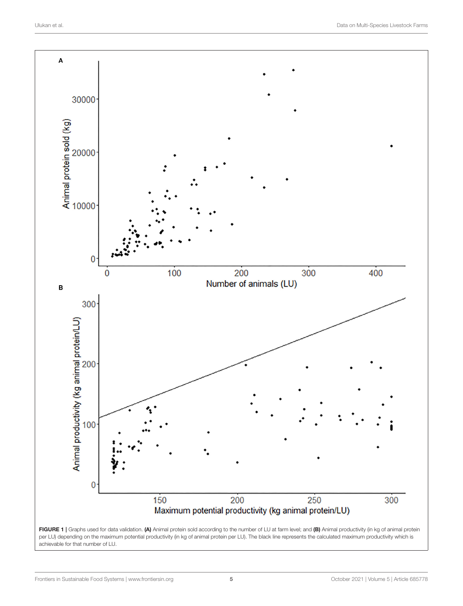

<span id="page-4-0"></span>FIGURE 1 | Graphs used for data validation. (A) Animal protein sold according to the number of LU at farm level; and (B) Animal productivity (in kg of animal protein per LU) depending on the maximum potential productivity (in kg of animal protein per LU). The black line represents the calculated maximum productivity which is achievable for that number of LU.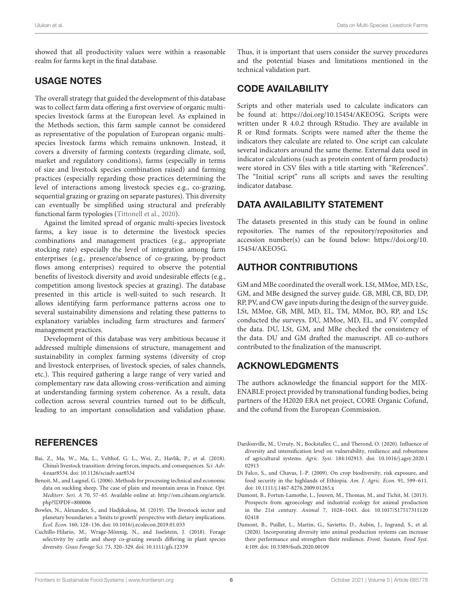showed that all productivity values were within a reasonable realm for farms kept in the final database.

### USAGE NOTES

The overall strategy that guided the development of this database was to collect farm data offering a first overview of organic multispecies livestock farms at the European level. As explained in the Methods section, this farm sample cannot be considered as representative of the population of European organic multispecies livestock farms which remains unknown. Instead, it covers a diversity of farming contexts (regarding climate, soil, market and regulatory conditions), farms (especially in terms of size and livestock species combination raised) and farming practices (especially regarding those practices determining the level of interactions among livestock species e.g., co-grazing, sequential grazing or grazing on separate pastures). This diversity can eventually be simplified using structural and preferably functional farm typologies [\(Tittonell et al., 2020\)](#page-6-18).

Against the limited spread of organic multi-species livestock farms, a key issue is to determine the livestock species combinations and management practices (e.g., appropriate stocking rate) especially the level of integration among farm enterprises (e.g., presence/absence of co-grazing, by-product flows among enterprises) required to observe the potential benefits of livestock diversity and avoid undesirable effects (e.g., competition among livestock species at grazing). The database presented in this article is well-suited to such research. It allows identifying farm performance patterns across one to several sustainability dimensions and relating these patterns to explanatory variables including farm structures and farmers' management practices.

Development of this database was very ambitious because it addressed multiple dimensions of structure, management and sustainability in complex farming systems (diversity of crop and livestock enterprises, of livestock species, of sales channels, etc.). This required gathering a large range of very varied and complementary raw data allowing cross-verification and aiming at understanding farming system coherence. As a result, data collection across several countries turned out to be difficult, leading to an important consolidation and validation phase.

# **REFERENCES**

- <span id="page-5-0"></span>Bai, Z., Ma, W., Ma, L., Velthof, G. L., Wei, Z., Havlík, P., et al. (2018). China's livestock transition: driving forces, impacts, and consequences. Sci. Adv. 4:eaar8534. doi: [10.1126/sciadv.aar8534](https://doi.org/10.1126/sciadv.aar8534)
- <span id="page-5-7"></span>Benoit, M., and Laignel, G. (2006). Methods for processing technical and economic data on suckling sheep. The case of plain and mountain areas in France. Opt. Mediterr. Seri. A 70, 57–65. Available online at: [http://om.ciheam.org/article.](http://om.ciheam.org/article.php?IDPDF=800006) [php?IDPDF=800006](http://om.ciheam.org/article.php?IDPDF=800006)
- <span id="page-5-1"></span>Bowles, N., Alexander, S., and Hadjikakou, M. (2019). The livestock sector and planetary boundaries: a 'limits to growth' perspective with dietary implications. Ecol. Econ. 160, 128–136. doi: [10.1016/j.ecolecon.2019.01.033](https://doi.org/10.1016/j.ecolecon.2019.01.033)
- <span id="page-5-6"></span>Cuchillo-Hilario, M., Wrage-Mönnig, N., and Isselstein, J. (2018). Forage selectivity by cattle and sheep co-grazing swards differing in plant species diversity. Grass Forage Sci. 73, 320–329. doi: [10.1111/gfs.12339](https://doi.org/10.1111/gfs.12339)

Thus, it is important that users consider the survey procedures and the potential biases and limitations mentioned in the technical validation part.

# CODE AVAILABILITY

Scripts and other materials used to calculate indicators can be found at: [https://doi.org/10.15454/AKEO5G.](https://doi.org/10.15454/AKEO5G) Scripts were written under R 4.0.2 through RStudio. They are available in R or Rmd formats. Scripts were named after the theme the indicators they calculate are related to. One script can calculate several indicators around the same theme. External data used in indicator calculations (such as protein content of farm products) were stored in CSV files with a title starting with "References". The "Initial script" runs all scripts and saves the resulting indicator database.

# DATA AVAILABILITY STATEMENT

The datasets presented in this study can be found in online repositories. The names of the repository/repositories and accession number(s) can be found below: [https://doi.org/10.](https://doi.org/10.15454/AKEO5G) [15454/AKEO5G.](https://doi.org/10.15454/AKEO5G)

# AUTHOR CONTRIBUTIONS

GM and MBe coordinated the overall work. LSt, MMoe, MD, LSc, GM, and MBe designed the survey guide. GB, MBl, CB, BD, DP, RP, PV, and CW gave inputs during the design of the survey guide. LSt, MMoe, GB, MBl, MD, EL, TM, MMor, BO, RP, and LSc conducted the surveys. DU, MMoe, MD, EL, and FV compiled the data. DU, LSt, GM, and MBe checked the consistency of the data. DU and GM drafted the manuscript. All co-authors contributed to the finalization of the manuscript.

# ACKNOWLEDGMENTS

The authors acknowledge the financial support for the MIX-ENABLE project provided by transnational funding bodies, being partners of the H2020 ERA net project, CORE Organic Cofund, and the cofund from the European Commission.

- <span id="page-5-4"></span>Dardonville, M., Urruty, N., Bockstaller, C., and Therond, O. (2020). Influence of diversity and intensification level on vulnerability, resilience and robustness of agricultural systems. Agric. Syst. [184:102913. doi: 10.1016/j.agsy.2020.1](https://doi.org/10.1016/j.agsy.2020.102913) 02913
- <span id="page-5-3"></span>Di Falco, S., and Chavas, J.-P. (2009). On crop biodiversity, risk exposure, and food security in the highlands of Ethiopia. Am. J. Agric. Econ. 91, 599–611. doi: [10.1111/j.1467-8276.2009.01265.x](https://doi.org/10.1111/j.1467-8276.2009.01265.x)
- <span id="page-5-2"></span>Dumont, B., Fortun-Lamothe, L., Jouven, M., Thomas, M., and Tichit, M. (2013). Prospects from agroecology and industrial ecology for animal production in the 21st century. Animal [7, 1028–1043. doi: 10.1017/S17517311120](https://doi.org/10.1017/S1751731112002418) 02418
- <span id="page-5-5"></span>Dumont, B., Puillet, L., Martin, G., Savietto, D., Aubin, J., Ingrand, S., et al. (2020). Incorporating diversity into animal production systems can increase their performance and strengthen their resilience. Front. Sustain. Food Syst. 4:109. doi: [10.3389/fsufs.2020.00109](https://doi.org/10.3389/fsufs.2020.00109)